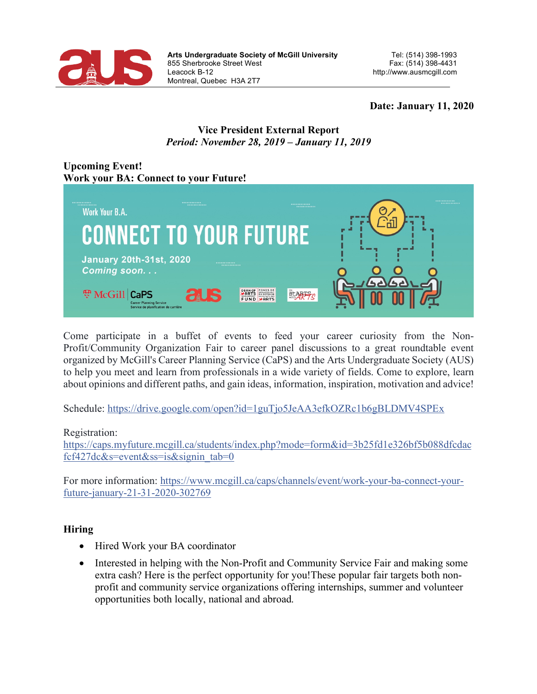

## **Date: January 11, 2020**

## **Vice President External Report** *Period: November 28, 2019 – January 11, 2019*

# **Upcoming Event! Work your BA: Connect to your Future!**



Come participate in a buffet of events to feed your career curiosity from the Non-Profit/Community Organization Fair to career panel discussions to a great roundtable event organized by McGill's Career Planning Service (CaPS) and the Arts Undergraduate Society (AUS) to help you meet and learn from professionals in a wide variety of fields. Come to explore, learn about opinions and different paths, and gain ideas, information, inspiration, motivation and advice!

Schedule: https://drive.google.com/open?id=1guTjo5JeAA3efkOZRc1b6gBLDMV4SPEx

#### Registration:

https://caps.myfuture.mcgill.ca/students/index.php?mode=form&id=3b25fd1e326bf5b088dfcdac fcf427dc $&$ s=event $&$ ss=is $&$ signin tab=0

For more information: https://www.mcgill.ca/caps/channels/event/work-your-ba-connect-yourfuture-january-21-31-2020-302769

## **Hiring**

- Hired Work your BA coordinator
- Interested in helping with the Non-Profit and Community Service Fair and making some extra cash? Here is the perfect opportunity for you!These popular fair targets both nonprofit and community service organizations offering internships, summer and volunteer opportunities both locally, national and abroad.